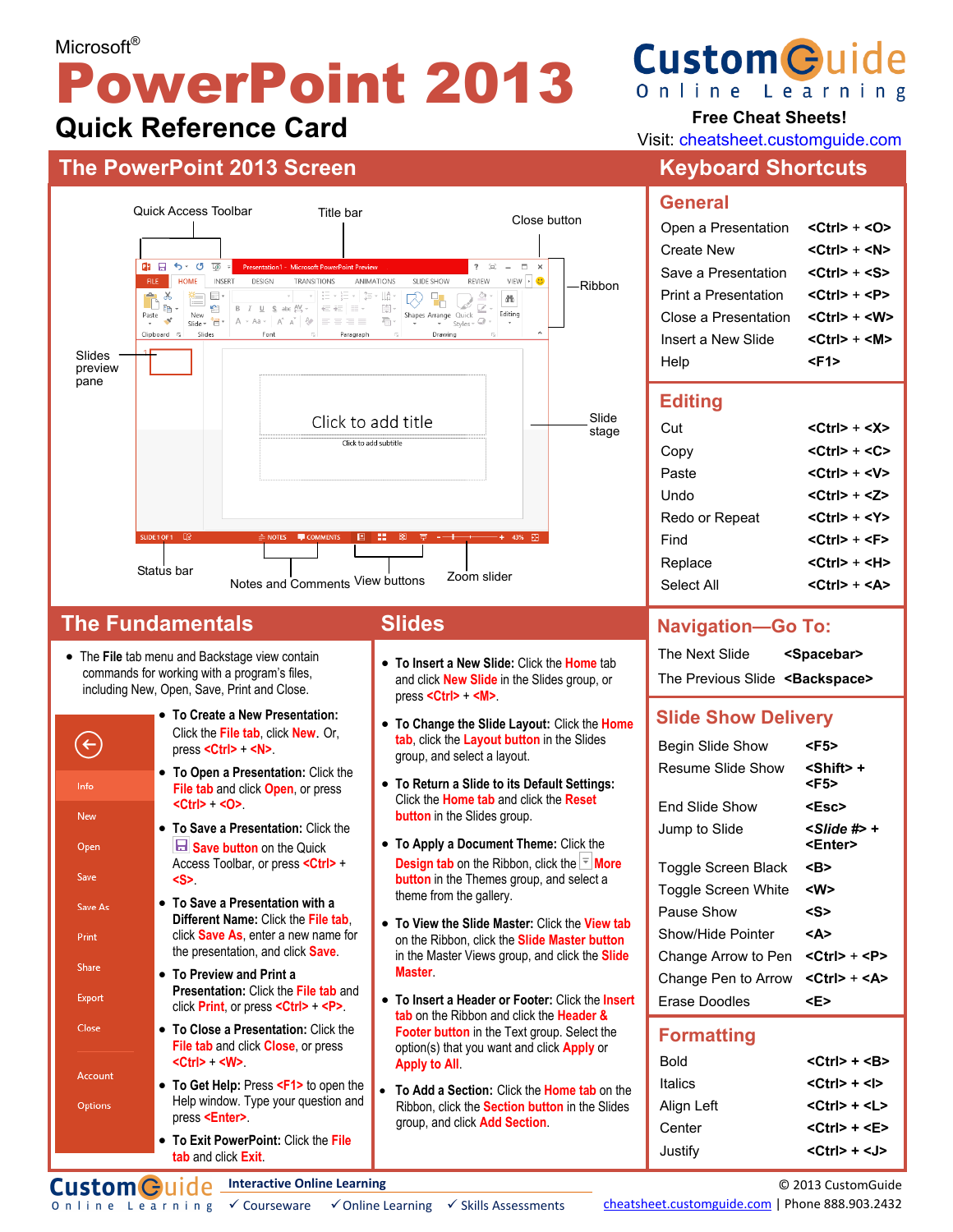# Microsoft<sup>®</sup> PowerPoint 2013 **Quick Reference Card**



#### **The Fundamentals**

• The **File** tab menu and Backstage view contain commands for working with a program's files, including New, Open, Save, Print and Close.



#### **Slides**

- **To Insert a New Slide:** Click the **Home** tab and click **New Slide** in the Slides group, or press **<Ctrl>** + **<M>**.
- **To Change the Slide Layout:** Click the **Home tab**, click the **Layout button** in the Slides group, and select a layout.
- **To Return a Slide to its Default Settings:** Click the **Home tab** and click the **Reset button** in the Slides group.
- **To Apply a Document Theme:** Click the **Design tab** on the Ribbon, click the  $\frac{1}{2}$  **More button** in the Themes group, and select a theme from the gallery.
- **To View the Slide Master:** Click the **View tab** on the Ribbon, click the **Slide Master button** in the Master Views group, and click the **Slide Master**.
- **To Insert a Header or Footer:** Click the **Insert tab** on the Ribbon and click the **Header & Footer button** in the Text group. Select the option(s) that you want and click **Apply** or **Apply to All**.
- **To Add a Section:** Click the **Home tab** on the Ribbon, click the **Section button** in the Slides group, and click **Add Section**.

# **Custom Guide** Online Learning

### **Free Cheat Sheets!**

Visit: cheatsheet.customguide.com

# **The PowerPoint 2013 Screen Manual Community Community Reyboard Shortcuts**

#### **General**

| Open a Presentation  | $<$ Ctrl $>$ + $<$ O $>$ |
|----------------------|--------------------------|
| Create New           | $<$ Ctrl $>$ + $<$ N $>$ |
| Save a Presentation  | <ctrl> + <s></s></ctrl>  |
| Print a Presentation | <ctrl> + <p></p></ctrl>  |
| Close a Presentation | <ctrl> + <w></w></ctrl>  |
| Insert a New Slide   | $<$ Ctrl $>$ + $<$ M $>$ |
| Help                 | <f1></f1>                |

#### **Editing**

| Cut            | $<$ Ctrl $>$ + $<$ X $>$ |
|----------------|--------------------------|
| Copy           | $<$ Ctrl $>$ + $<$ C $>$ |
| Paste          | <ctrl> + <v></v></ctrl>  |
| Undo           | $<$ Ctrl $>$ + $<$ 7 $>$ |
| Redo or Repeat | <ctrl> + <y></y></ctrl>  |
| Find           | <ctrl> + <f></f></ctrl>  |
| Replace        | $<$ Ctrl $>$ + $<$ H $>$ |
| Select All     | <ctrl> + <a></a></ctrl>  |

#### **Navigation—Go To:**

The Next Slide **<Spacebar>** The Previous Slide **<Backspace>**

#### **Slide Show Delivery**

| Begin Slide Show           | <f5></f5>                       |
|----------------------------|---------------------------------|
| Resume Slide Show          | <shift> +<br/><f5></f5></shift> |
| Fnd Slide Show             | <esc></esc>                     |
| Jump to Slide              | <enter></enter>                 |
| Toggle Screen Black        | <b></b>                         |
| <b>Toggle Screen White</b> | <w></w>                         |
| Pause Show                 | <s></s>                         |
| Show/Hide Pointer          | <a></a>                         |
| Change Arrow to Pen        | <ctrl> + <p></p></ctrl>         |
| Change Pen to Arrow        | <ctrl> + <a></a></ctrl>         |
| Erase Doodles              | <e></e>                         |

#### **Formatting**

| Bold       | $<$ Ctrl $>$ + $<$ B $>$ |
|------------|--------------------------|
| Italics    | $<$ Ctrl $>$ + $<$ l $>$ |
| Align Left | $<$ Ctrl $>$ + $<$ L $>$ |
| Center     | $<$ Ctrl $>$ + $<$ E $>$ |
| Justify    | $<$ Ctrl $>$ + $<$ J $>$ |

**Interactive Online Learning Custom**Cuide

0 n l i n e L e a r n i n g  $\checkmark$  Courseware  $\checkmark$  Online Learning  $\checkmark$  Skills Assessments

```
© 2013 CustomGuide
```
cheatsheet.customguide.com | Phone 888.903.2432